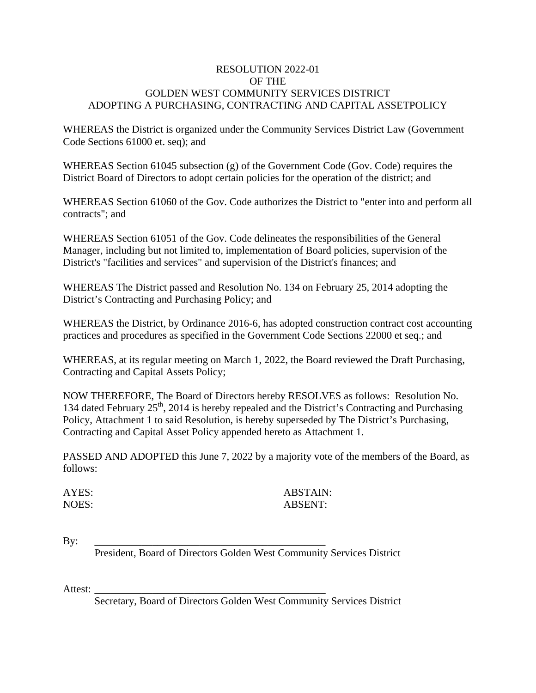# RESOLUTION 2022-01 OF THE GOLDEN WEST COMMUNITY SERVICES DISTRICT ADOPTING A PURCHASING, CONTRACTING AND CAPITAL ASSETPOLICY

WHEREAS the District is organized under the Community Services District Law (Government Code Sections 61000 et. seq); and

WHEREAS Section 61045 subsection (g) of the Government Code (Gov. Code) requires the District Board of Directors to adopt certain policies for the operation of the district; and

WHEREAS Section 61060 of the Gov. Code authorizes the District to "enter into and perform all contracts"; and

WHEREAS Section 61051 of the Gov. Code delineates the responsibilities of the General Manager, including but not limited to, implementation of Board policies, supervision of the District's "facilities and services" and supervision of the District's finances; and

WHEREAS The District passed and Resolution No. 134 on February 25, 2014 adopting the District's Contracting and Purchasing Policy; and

WHEREAS the District, by Ordinance 2016-6, has adopted construction contract cost accounting practices and procedures as specified in the Government Code Sections 22000 et seq.; and

WHEREAS, at its regular meeting on March 1, 2022, the Board reviewed the Draft Purchasing, Contracting and Capital Assets Policy;

NOW THEREFORE, The Board of Directors hereby RESOLVES as follows: Resolution No. 134 dated February  $25<sup>th</sup>$ , 2014 is hereby repealed and the District's Contracting and Purchasing Policy, Attachment 1 to said Resolution, is hereby superseded by The District's Purchasing, Contracting and Capital Asset Policy appended hereto as Attachment 1.

PASSED AND ADOPTED this June 7, 2022 by a majority vote of the members of the Board, as follows:

# AYES: ARSTAIN: NOES: ABSENT:

By: \_\_\_\_\_\_\_\_\_\_\_\_\_\_\_\_\_\_\_\_\_\_\_\_\_\_\_\_\_\_\_\_\_\_\_\_\_\_\_\_\_\_\_\_

President, Board of Directors Golden West Community Services District

Attest: \_\_\_\_\_\_\_\_\_\_\_\_\_\_\_\_\_\_\_\_\_\_\_\_\_\_\_\_\_\_\_\_\_\_\_\_\_\_\_\_\_\_\_\_

Secretary, Board of Directors Golden West Community Services District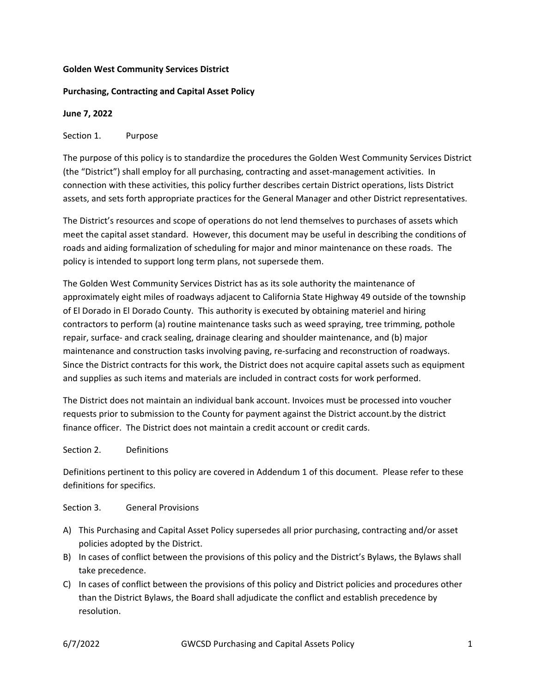### **Golden West Community Services District**

## **Purchasing, Contracting and Capital Asset Policy**

### **June 7, 2022**

### Section 1. Purpose

The purpose of this policy is to standardize the procedures the Golden West Community Services District (the "District") shall employ for all purchasing, contracting and asset‐management activities. In connection with these activities, this policy further describes certain District operations, lists District assets, and sets forth appropriate practices for the General Manager and other District representatives.

The District's resources and scope of operations do not lend themselves to purchases of assets which meet the capital asset standard. However, this document may be useful in describing the conditions of roads and aiding formalization of scheduling for major and minor maintenance on these roads. The policy is intended to support long term plans, not supersede them.

The Golden West Community Services District has as its sole authority the maintenance of approximately eight miles of roadways adjacent to California State Highway 49 outside of the township of El Dorado in El Dorado County. This authority is executed by obtaining materiel and hiring contractors to perform (a) routine maintenance tasks such as weed spraying, tree trimming, pothole repair, surface‐ and crack sealing, drainage clearing and shoulder maintenance, and (b) major maintenance and construction tasks involving paving, re‐surfacing and reconstruction of roadways. Since the District contracts for this work, the District does not acquire capital assets such as equipment and supplies as such items and materials are included in contract costs for work performed.

The District does not maintain an individual bank account. Invoices must be processed into voucher requests prior to submission to the County for payment against the District account.by the district finance officer. The District does not maintain a credit account or credit cards.

### Section 2. Definitions

Definitions pertinent to this policy are covered in Addendum 1 of this document. Please refer to these definitions for specifics.

### Section 3. General Provisions

- A) This Purchasing and Capital Asset Policy supersedes all prior purchasing, contracting and/or asset policies adopted by the District.
- B) In cases of conflict between the provisions of this policy and the District's Bylaws, the Bylaws shall take precedence.
- C) In cases of conflict between the provisions of this policy and District policies and procedures other than the District Bylaws, the Board shall adjudicate the conflict and establish precedence by resolution.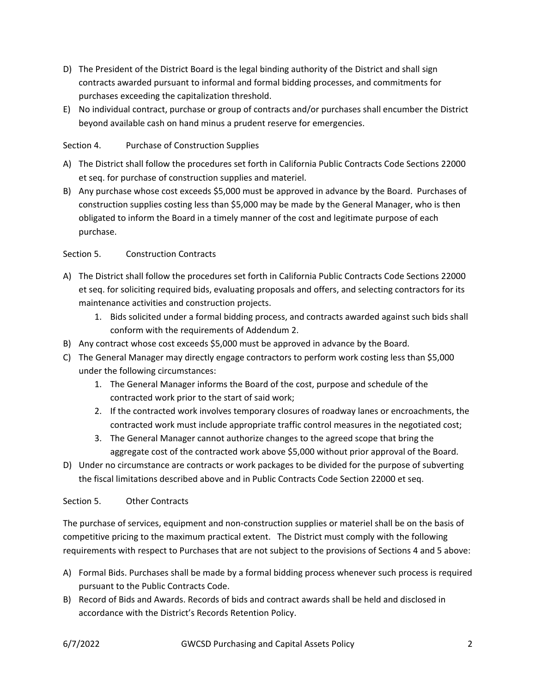- D) The President of the District Board is the legal binding authority of the District and shall sign contracts awarded pursuant to informal and formal bidding processes, and commitments for purchases exceeding the capitalization threshold.
- E) No individual contract, purchase or group of contracts and/or purchases shall encumber the District beyond available cash on hand minus a prudent reserve for emergencies.

# Section 4. Purchase of Construction Supplies

- A) The District shall follow the procedures set forth in California Public Contracts Code Sections 22000 et seq. for purchase of construction supplies and materiel.
- B) Any purchase whose cost exceeds \$5,000 must be approved in advance by the Board. Purchases of construction supplies costing less than \$5,000 may be made by the General Manager, who is then obligated to inform the Board in a timely manner of the cost and legitimate purpose of each purchase.

# Section 5. Construction Contracts

- A) The District shall follow the procedures set forth in California Public Contracts Code Sections 22000 et seq. for soliciting required bids, evaluating proposals and offers, and selecting contractors for its maintenance activities and construction projects.
	- 1. Bids solicited under a formal bidding process, and contracts awarded against such bids shall conform with the requirements of Addendum 2.
- B) Any contract whose cost exceeds \$5,000 must be approved in advance by the Board.
- C) The General Manager may directly engage contractors to perform work costing less than \$5,000 under the following circumstances:
	- 1. The General Manager informs the Board of the cost, purpose and schedule of the contracted work prior to the start of said work;
	- 2. If the contracted work involves temporary closures of roadway lanes or encroachments, the contracted work must include appropriate traffic control measures in the negotiated cost;
	- 3. The General Manager cannot authorize changes to the agreed scope that bring the aggregate cost of the contracted work above \$5,000 without prior approval of the Board.
- D) Under no circumstance are contracts or work packages to be divided for the purpose of subverting the fiscal limitations described above and in Public Contracts Code Section 22000 et seq.

# Section 5. Other Contracts

The purchase of services, equipment and non‐construction supplies or materiel shall be on the basis of competitive pricing to the maximum practical extent. The District must comply with the following requirements with respect to Purchases that are not subject to the provisions of Sections 4 and 5 above:

- A) Formal Bids. Purchases shall be made by a formal bidding process whenever such process is required pursuant to the Public Contracts Code.
- B) Record of Bids and Awards. Records of bids and contract awards shall be held and disclosed in accordance with the District's Records Retention Policy.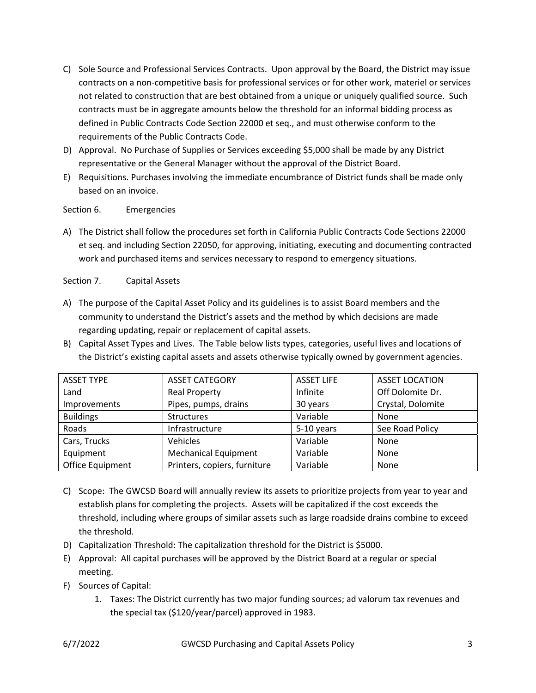- C) Sole Source and Professional Services Contracts. Upon approval by the Board, the District may issue contracts on a non‐competitive basis for professional services or for other work, materiel or services not related to construction that are best obtained from a unique or uniquely qualified source. Such contracts must be in aggregate amounts below the threshold for an informal bidding process as defined in Public Contracts Code Section 22000 et seq., and must otherwise conform to the requirements of the Public Contracts Code.
- D) Approval. No Purchase of Supplies or Services exceeding \$5,000 shall be made by any District representative or the General Manager without the approval of the District Board.
- E) Requisitions. Purchases involving the immediate encumbrance of District funds shall be made only based on an invoice.

Section 6. Emergencies

A) The District shall follow the procedures set forth in California Public Contracts Code Sections 22000 et seq. and including Section 22050, for approving, initiating, executing and documenting contracted work and purchased items and services necessary to respond to emergency situations.

Section 7. Capital Assets

- A) The purpose of the Capital Asset Policy and its guidelines is to assist Board members and the community to understand the District's assets and the method by which decisions are made regarding updating, repair or replacement of capital assets.
- B) Capital Asset Types and Lives. The Table below lists types, categories, useful lives and locations of the District's existing capital assets and assets otherwise typically owned by government agencies.

| <b>ASSET TYPE</b> | <b>ASSET CATEGORY</b>        | <b>ASSET LIFE</b> | <b>ASSET LOCATION</b> |
|-------------------|------------------------------|-------------------|-----------------------|
| Land              | <b>Real Property</b>         | Infinite          | Off Dolomite Dr.      |
| Improvements      | Pipes, pumps, drains         | 30 years          | Crystal, Dolomite     |
| <b>Buildings</b>  | <b>Structures</b>            | Variable          | None                  |
| Roads             | Infrastructure               | 5-10 years        | See Road Policy       |
| Cars, Trucks      | Vehicles                     | Variable          | None                  |
| Equipment         | <b>Mechanical Equipment</b>  | Variable          | None                  |
| Office Equipment  | Printers, copiers, furniture | Variable          | None                  |

- C) Scope: The GWCSD Board will annually review its assets to prioritize projects from year to year and establish plans for completing the projects. Assets will be capitalized if the cost exceeds the threshold, including where groups of similar assets such as large roadside drains combine to exceed the threshold.
- D) Capitalization Threshold: The capitalization threshold for the District is \$5000.
- E) Approval: All capital purchases will be approved by the District Board at a regular or special meeting.
- F) Sources of Capital:
	- 1. Taxes: The District currently has two major funding sources; ad valorum tax revenues and the special tax (\$120/year/parcel) approved in 1983.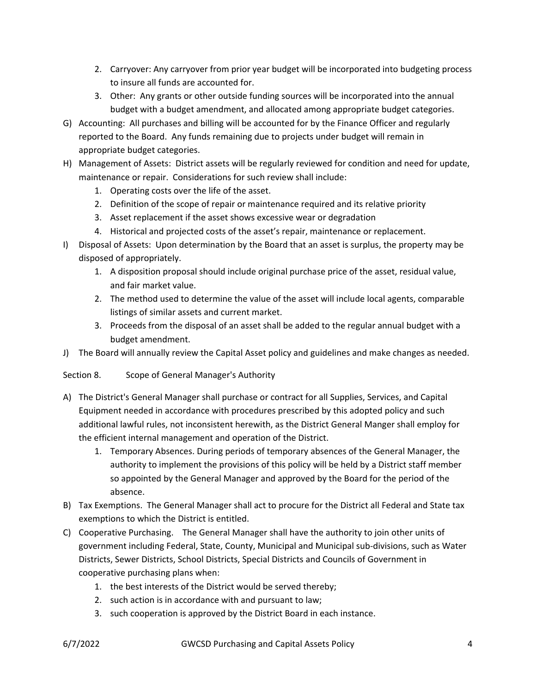- 2. Carryover: Any carryover from prior year budget will be incorporated into budgeting process to insure all funds are accounted for.
- 3. Other: Any grants or other outside funding sources will be incorporated into the annual budget with a budget amendment, and allocated among appropriate budget categories.
- G) Accounting: All purchases and billing will be accounted for by the Finance Officer and regularly reported to the Board. Any funds remaining due to projects under budget will remain in appropriate budget categories.
- H) Management of Assets: District assets will be regularly reviewed for condition and need for update, maintenance or repair. Considerations for such review shall include:
	- 1. Operating costs over the life of the asset.
	- 2. Definition of the scope of repair or maintenance required and its relative priority
	- 3. Asset replacement if the asset shows excessive wear or degradation
	- 4. Historical and projected costs of the asset's repair, maintenance or replacement.
- I) Disposal of Assets: Upon determination by the Board that an asset is surplus, the property may be disposed of appropriately.
	- 1. A disposition proposal should include original purchase price of the asset, residual value, and fair market value.
	- 2. The method used to determine the value of the asset will include local agents, comparable listings of similar assets and current market.
	- 3. Proceeds from the disposal of an asset shall be added to the regular annual budget with a budget amendment.
- J) The Board will annually review the Capital Asset policy and guidelines and make changes as needed.
- Section 8. Scope of General Manager's Authority
- A) The District's General Manager shall purchase or contract for all Supplies, Services, and Capital Equipment needed in accordance with procedures prescribed by this adopted policy and such additional lawful rules, not inconsistent herewith, as the District General Manger shall employ for the efficient internal management and operation of the District.
	- 1. Temporary Absences. During periods of temporary absences of the General Manager, the authority to implement the provisions of this policy will be held by a District staff member so appointed by the General Manager and approved by the Board for the period of the absence.
- B) Tax Exemptions. The General Manager shall act to procure for the District all Federal and State tax exemptions to which the District is entitled.
- C) Cooperative Purchasing. The General Manager shall have the authority to join other units of government including Federal, State, County, Municipal and Municipal sub‐divisions, such as Water Districts, Sewer Districts, School Districts, Special Districts and Councils of Government in cooperative purchasing plans when:
	- 1. the best interests of the District would be served thereby;
	- 2. such action is in accordance with and pursuant to law;
	- 3. such cooperation is approved by the District Board in each instance.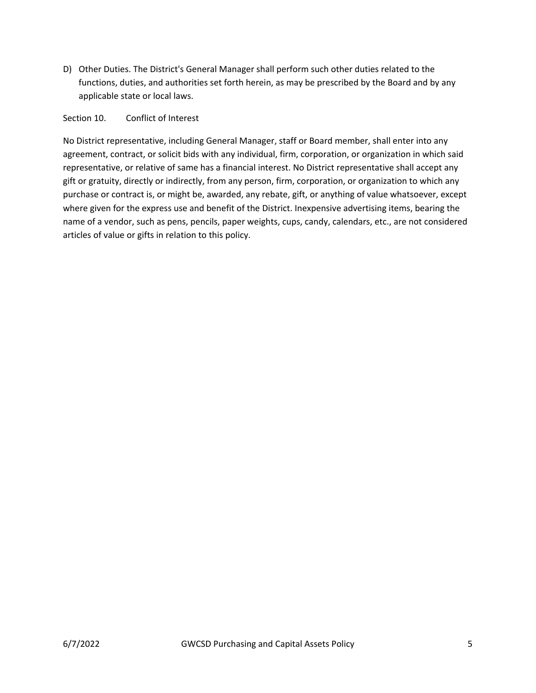D) Other Duties. The District's General Manager shall perform such other duties related to the functions, duties, and authorities set forth herein, as may be prescribed by the Board and by any applicable state or local laws.

### Section 10. Conflict of Interest

No District representative, including General Manager, staff or Board member, shall enter into any agreement, contract, or solicit bids with any individual, firm, corporation, or organization in which said representative, or relative of same has a financial interest. No District representative shall accept any gift or gratuity, directly or indirectly, from any person, firm, corporation, or organization to which any purchase or contract is, or might be, awarded, any rebate, gift, or anything of value whatsoever, except where given for the express use and benefit of the District. Inexpensive advertising items, bearing the name of a vendor, such as pens, pencils, paper weights, cups, candy, calendars, etc., are not considered articles of value or gifts in relation to this policy.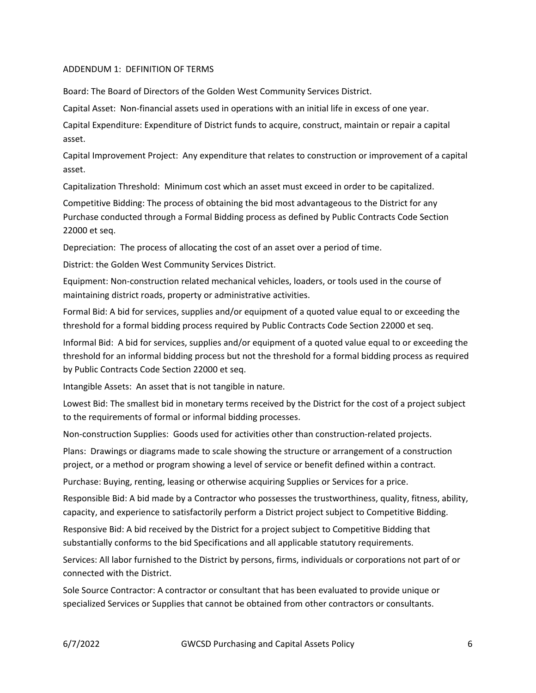#### ADDENDUM 1: DEFINITION OF TERMS

Board: The Board of Directors of the Golden West Community Services District.

Capital Asset: Non‐financial assets used in operations with an initial life in excess of one year.

Capital Expenditure: Expenditure of District funds to acquire, construct, maintain or repair a capital asset.

Capital Improvement Project: Any expenditure that relates to construction or improvement of a capital asset.

Capitalization Threshold: Minimum cost which an asset must exceed in order to be capitalized.

Competitive Bidding: The process of obtaining the bid most advantageous to the District for any Purchase conducted through a Formal Bidding process as defined by Public Contracts Code Section 22000 et seq.

Depreciation: The process of allocating the cost of an asset over a period of time.

District: the Golden West Community Services District.

Equipment: Non‐construction related mechanical vehicles, loaders, or tools used in the course of maintaining district roads, property or administrative activities.

Formal Bid: A bid for services, supplies and/or equipment of a quoted value equal to or exceeding the threshold for a formal bidding process required by Public Contracts Code Section 22000 et seq.

Informal Bid: A bid for services, supplies and/or equipment of a quoted value equal to or exceeding the threshold for an informal bidding process but not the threshold for a formal bidding process as required by Public Contracts Code Section 22000 et seq.

Intangible Assets: An asset that is not tangible in nature.

Lowest Bid: The smallest bid in monetary terms received by the District for the cost of a project subject to the requirements of formal or informal bidding processes.

Non‐construction Supplies: Goods used for activities other than construction‐related projects.

Plans: Drawings or diagrams made to scale showing the structure or arrangement of a construction project, or a method or program showing a level of service or benefit defined within a contract.

Purchase: Buying, renting, leasing or otherwise acquiring Supplies or Services for a price.

Responsible Bid: A bid made by a Contractor who possesses the trustworthiness, quality, fitness, ability, capacity, and experience to satisfactorily perform a District project subject to Competitive Bidding.

Responsive Bid: A bid received by the District for a project subject to Competitive Bidding that substantially conforms to the bid Specifications and all applicable statutory requirements.

Services: All labor furnished to the District by persons, firms, individuals or corporations not part of or connected with the District.

Sole Source Contractor: A contractor or consultant that has been evaluated to provide unique or specialized Services or Supplies that cannot be obtained from other contractors or consultants.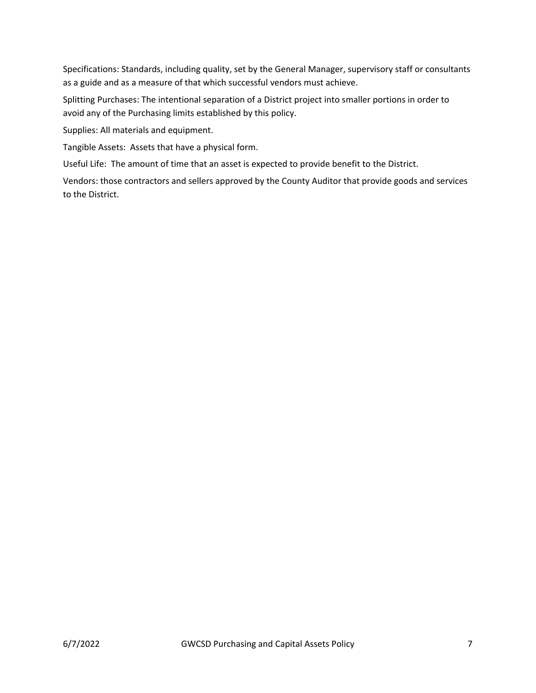Specifications: Standards, including quality, set by the General Manager, supervisory staff or consultants as a guide and as a measure of that which successful vendors must achieve.

Splitting Purchases: The intentional separation of a District project into smaller portions in order to avoid any of the Purchasing limits established by this policy.

Supplies: All materials and equipment.

Tangible Assets: Assets that have a physical form.

Useful Life: The amount of time that an asset is expected to provide benefit to the District.

Vendors: those contractors and sellers approved by the County Auditor that provide goods and services to the District.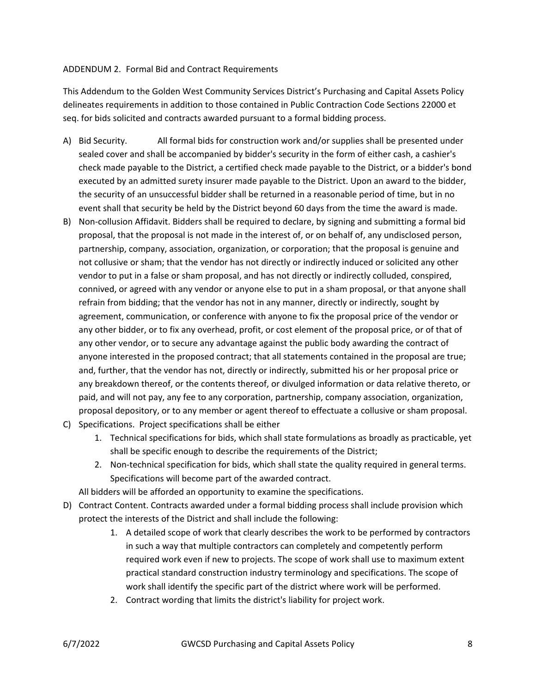#### ADDENDUM 2. Formal Bid and Contract Requirements

This Addendum to the Golden West Community Services District's Purchasing and Capital Assets Policy delineates requirements in addition to those contained in Public Contraction Code Sections 22000 et seq. for bids solicited and contracts awarded pursuant to a formal bidding process.

- A) Bid Security. All formal bids for construction work and/or supplies shall be presented under sealed cover and shall be accompanied by bidder's security in the form of either cash, a cashier's check made payable to the District, a certified check made payable to the District, or a bidder's bond executed by an admitted surety insurer made payable to the District. Upon an award to the bidder, the security of an unsuccessful bidder shall be returned in a reasonable period of time, but in no event shall that security be held by the District beyond 60 days from the time the award is made.
- B) Non‐collusion Affidavit. Bidders shall be required to declare, by signing and submitting a formal bid proposal, that the proposal is not made in the interest of, or on behalf of, any undisclosed person, partnership, company, association, organization, or corporation; that the proposal is genuine and not collusive or sham; that the vendor has not directly or indirectly induced or solicited any other vendor to put in a false or sham proposal, and has not directly or indirectly colluded, conspired, connived, or agreed with any vendor or anyone else to put in a sham proposal, or that anyone shall refrain from bidding; that the vendor has not in any manner, directly or indirectly, sought by agreement, communication, or conference with anyone to fix the proposal price of the vendor or any other bidder, or to fix any overhead, profit, or cost element of the proposal price, or of that of any other vendor, or to secure any advantage against the public body awarding the contract of anyone interested in the proposed contract; that all statements contained in the proposal are true; and, further, that the vendor has not, directly or indirectly, submitted his or her proposal price or any breakdown thereof, or the contents thereof, or divulged information or data relative thereto, or paid, and will not pay, any fee to any corporation, partnership, company association, organization, proposal depository, or to any member or agent thereof to effectuate a collusive or sham proposal.
- C) Specifications. Project specifications shall be either
	- 1. Technical specifications for bids, which shall state formulations as broadly as practicable, yet shall be specific enough to describe the requirements of the District;
	- 2. Non-technical specification for bids, which shall state the quality required in general terms. Specifications will become part of the awarded contract.

All bidders will be afforded an opportunity to examine the specifications.

- D) Contract Content. Contracts awarded under a formal bidding process shall include provision which protect the interests of the District and shall include the following:
	- 1. A detailed scope of work that clearly describes the work to be performed by contractors in such a way that multiple contractors can completely and competently perform required work even if new to projects. The scope of work shall use to maximum extent practical standard construction industry terminology and specifications. The scope of work shall identify the specific part of the district where work will be performed.
	- 2. Contract wording that limits the district's liability for project work.